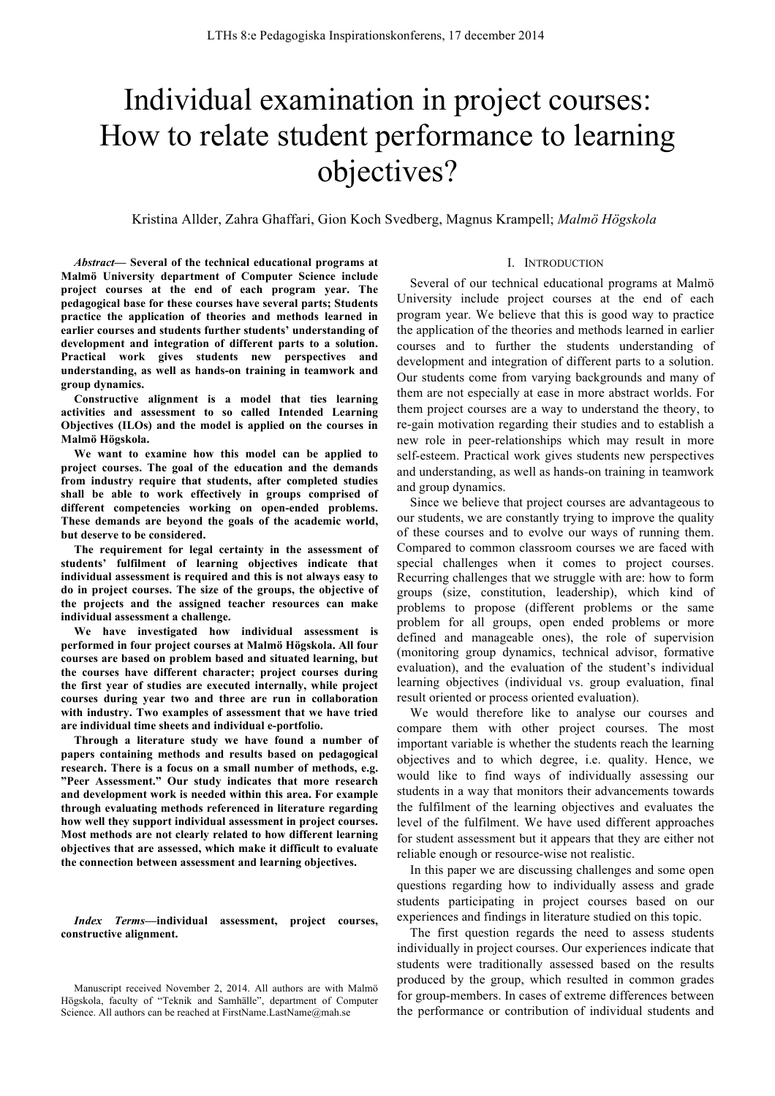# Individual examination in project courses: How to relate student performance to learning objectives?

## Kristina Allder, Zahra Ghaffari, Gion Koch Svedberg, Magnus Krampell; *Malmö Högskola*

*Abstract—* **Several of the technical educational programs at Malmö University department of Computer Science include project courses at the end of each program year. The pedagogical base for these courses have several parts; Students practice the application of theories and methods learned in earlier courses and students further students' understanding of development and integration of different parts to a solution. Practical work gives students new perspectives and understanding, as well as hands-on training in teamwork and group dynamics.**

**Constructive alignment is a model that ties learning activities and assessment to so called Intended Learning Objectives (ILOs) and the model is applied on the courses in Malmö Högskola.** 

**We want to examine how this model can be applied to project courses. The goal of the education and the demands from industry require that students, after completed studies shall be able to work effectively in groups comprised of different competencies working on open-ended problems. These demands are beyond the goals of the academic world, but deserve to be considered.**

**The requirement for legal certainty in the assessment of students' fulfilment of learning objectives indicate that individual assessment is required and this is not always easy to do in project courses. The size of the groups, the objective of the projects and the assigned teacher resources can make individual assessment a challenge.**

**We have investigated how individual assessment is performed in four project courses at Malmö Högskola. All four courses are based on problem based and situated learning, but the courses have different character; project courses during the first year of studies are executed internally, while project courses during year two and three are run in collaboration with industry. Two examples of assessment that we have tried are individual time sheets and individual e-portfolio.**

**Through a literature study we have found a number of papers containing methods and results based on pedagogical research. There is a focus on a small number of methods, e.g. "Peer Assessment." Our study indicates that more research and development work is needed within this area. For example through evaluating methods referenced in literature regarding how well they support individual assessment in project courses. Most methods are not clearly related to how different learning objectives that are assessed, which make it difficult to evaluate the connection between assessment and learning objectives.**

*Index Terms***—individual assessment, project courses, constructive alignment.** 

#### I. INTRODUCTION

Several of our technical educational programs at Malmö University include project courses at the end of each program year. We believe that this is good way to practice the application of the theories and methods learned in earlier courses and to further the students understanding of development and integration of different parts to a solution. Our students come from varying backgrounds and many of them are not especially at ease in more abstract worlds. For them project courses are a way to understand the theory, to re-gain motivation regarding their studies and to establish a new role in peer-relationships which may result in more self-esteem. Practical work gives students new perspectives and understanding, as well as hands-on training in teamwork and group dynamics.

Since we believe that project courses are advantageous to our students, we are constantly trying to improve the quality of these courses and to evolve our ways of running them. Compared to common classroom courses we are faced with special challenges when it comes to project courses. Recurring challenges that we struggle with are: how to form groups (size, constitution, leadership), which kind of problems to propose (different problems or the same problem for all groups, open ended problems or more defined and manageable ones), the role of supervision (monitoring group dynamics, technical advisor, formative evaluation), and the evaluation of the student's individual learning objectives (individual vs. group evaluation, final result oriented or process oriented evaluation).

We would therefore like to analyse our courses and compare them with other project courses. The most important variable is whether the students reach the learning objectives and to which degree, i.e. quality. Hence, we would like to find ways of individually assessing our students in a way that monitors their advancements towards the fulfilment of the learning objectives and evaluates the level of the fulfilment. We have used different approaches for student assessment but it appears that they are either not reliable enough or resource-wise not realistic.

In this paper we are discussing challenges and some open questions regarding how to individually assess and grade students participating in project courses based on our experiences and findings in literature studied on this topic.

The first question regards the need to assess students individually in project courses. Our experiences indicate that students were traditionally assessed based on the results produced by the group, which resulted in common grades for group-members. In cases of extreme differences between the performance or contribution of individual students and

Manuscript received November 2, 2014. All authors are with Malmö Högskola, faculty of "Teknik and Samhälle", department of Computer Science. All authors can be reached at FirstName.LastName@mah.se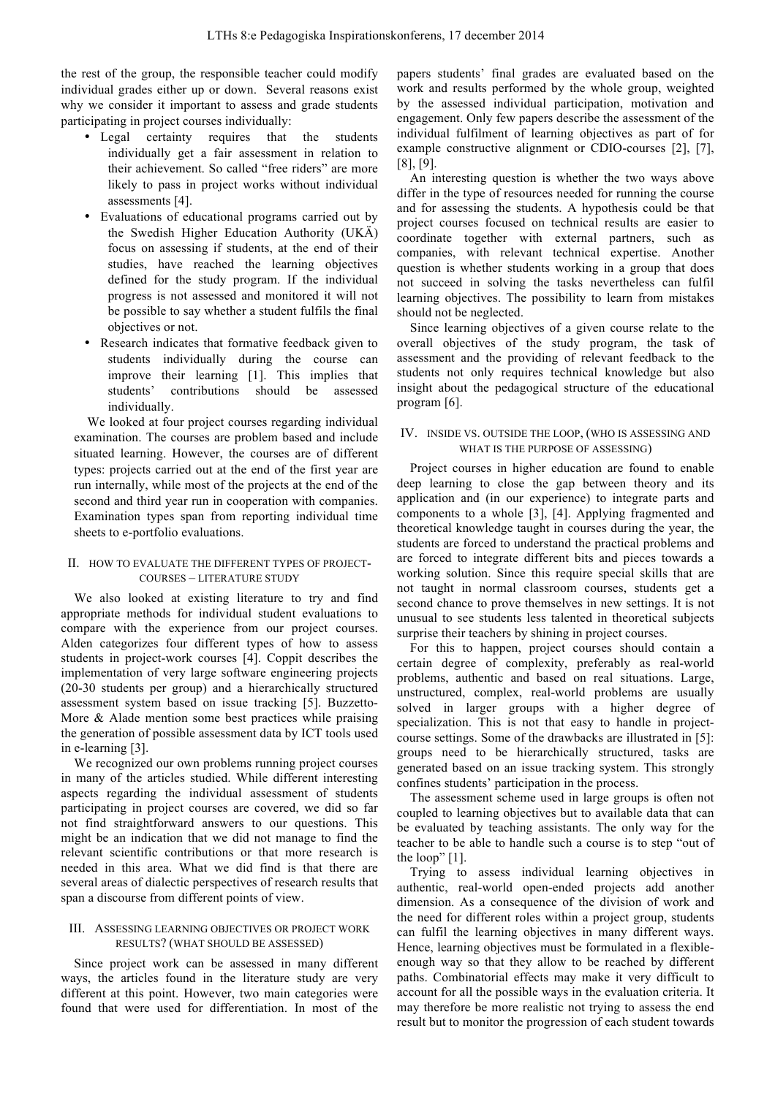the rest of the group, the responsible teacher could modify individual grades either up or down. Several reasons exist why we consider it important to assess and grade students participating in project courses individually:

- Legal certainty requires that the students individually get a fair assessment in relation to their achievement. So called "free riders" are more likely to pass in project works without individual assessments [4].
- Evaluations of educational programs carried out by the Swedish Higher Education Authority (UKÄ) focus on assessing if students, at the end of their studies, have reached the learning objectives defined for the study program. If the individual progress is not assessed and monitored it will not be possible to say whether a student fulfils the final objectives or not.
- Research indicates that formative feedback given to students individually during the course can improve their learning [1]. This implies that students' contributions should be assessed individually.

We looked at four project courses regarding individual examination. The courses are problem based and include situated learning. However, the courses are of different types: projects carried out at the end of the first year are run internally, while most of the projects at the end of the second and third year run in cooperation with companies. Examination types span from reporting individual time sheets to e-portfolio evaluations.

## II. HOW TO EVALUATE THE DIFFERENT TYPES OF PROJECT-COURSES – LITERATURE STUDY

We also looked at existing literature to try and find appropriate methods for individual student evaluations to compare with the experience from our project courses. Alden categorizes four different types of how to assess students in project-work courses [4]. Coppit describes the implementation of very large software engineering projects (20-30 students per group) and a hierarchically structured assessment system based on issue tracking [5]. Buzzetto-More & Alade mention some best practices while praising the generation of possible assessment data by ICT tools used in e-learning [3].

We recognized our own problems running project courses in many of the articles studied. While different interesting aspects regarding the individual assessment of students participating in project courses are covered, we did so far not find straightforward answers to our questions. This might be an indication that we did not manage to find the relevant scientific contributions or that more research is needed in this area. What we did find is that there are several areas of dialectic perspectives of research results that span a discourse from different points of view.

## III. ASSESSING LEARNING OBJECTIVES OR PROJECT WORK RESULTS? (WHAT SHOULD BE ASSESSED)

Since project work can be assessed in many different ways, the articles found in the literature study are very different at this point. However, two main categories were found that were used for differentiation. In most of the

papers students' final grades are evaluated based on the work and results performed by the whole group, weighted by the assessed individual participation, motivation and engagement. Only few papers describe the assessment of the individual fulfilment of learning objectives as part of for example constructive alignment or CDIO-courses [2], [7], [8], [9].

An interesting question is whether the two ways above differ in the type of resources needed for running the course and for assessing the students. A hypothesis could be that project courses focused on technical results are easier to coordinate together with external partners, such as companies, with relevant technical expertise. Another question is whether students working in a group that does not succeed in solving the tasks nevertheless can fulfil learning objectives. The possibility to learn from mistakes should not be neglected.

Since learning objectives of a given course relate to the overall objectives of the study program, the task of assessment and the providing of relevant feedback to the students not only requires technical knowledge but also insight about the pedagogical structure of the educational program [6].

## IV. INSIDE VS. OUTSIDE THE LOOP, (WHO IS ASSESSING AND WHAT IS THE PURPOSE OF ASSESSING)

Project courses in higher education are found to enable deep learning to close the gap between theory and its application and (in our experience) to integrate parts and components to a whole [3], [4]. Applying fragmented and theoretical knowledge taught in courses during the year, the students are forced to understand the practical problems and are forced to integrate different bits and pieces towards a working solution. Since this require special skills that are not taught in normal classroom courses, students get a second chance to prove themselves in new settings. It is not unusual to see students less talented in theoretical subjects surprise their teachers by shining in project courses.

For this to happen, project courses should contain a certain degree of complexity, preferably as real-world problems, authentic and based on real situations. Large, unstructured, complex, real-world problems are usually solved in larger groups with a higher degree of specialization. This is not that easy to handle in projectcourse settings. Some of the drawbacks are illustrated in [5]: groups need to be hierarchically structured, tasks are generated based on an issue tracking system. This strongly confines students' participation in the process.

The assessment scheme used in large groups is often not coupled to learning objectives but to available data that can be evaluated by teaching assistants. The only way for the teacher to be able to handle such a course is to step "out of the loop" [1].

Trying to assess individual learning objectives in authentic, real-world open-ended projects add another dimension. As a consequence of the division of work and the need for different roles within a project group, students can fulfil the learning objectives in many different ways. Hence, learning objectives must be formulated in a flexibleenough way so that they allow to be reached by different paths. Combinatorial effects may make it very difficult to account for all the possible ways in the evaluation criteria. It may therefore be more realistic not trying to assess the end result but to monitor the progression of each student towards